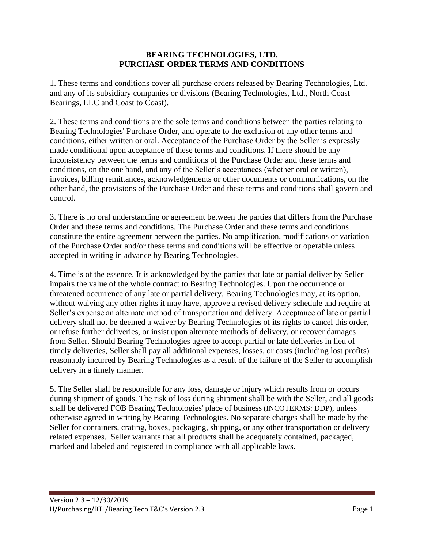## **BEARING TECHNOLOGIES, LTD. PURCHASE ORDER TERMS AND CONDITIONS**

1. These terms and conditions cover all purchase orders released by Bearing Technologies, Ltd. and any of its subsidiary companies or divisions (Bearing Technologies, Ltd., North Coast Bearings, LLC and Coast to Coast).

2. These terms and conditions are the sole terms and conditions between the parties relating to Bearing Technologies' Purchase Order, and operate to the exclusion of any other terms and conditions, either written or oral. Acceptance of the Purchase Order by the Seller is expressly made conditional upon acceptance of these terms and conditions. If there should be any inconsistency between the terms and conditions of the Purchase Order and these terms and conditions, on the one hand, and any of the Seller's acceptances (whether oral or written), invoices, billing remittances, acknowledgements or other documents or communications, on the other hand, the provisions of the Purchase Order and these terms and conditions shall govern and control.

3. There is no oral understanding or agreement between the parties that differs from the Purchase Order and these terms and conditions. The Purchase Order and these terms and conditions constitute the entire agreement between the parties. No amplification, modifications or variation of the Purchase Order and/or these terms and conditions will be effective or operable unless accepted in writing in advance by Bearing Technologies.

4. Time is of the essence. It is acknowledged by the parties that late or partial deliver by Seller impairs the value of the whole contract to Bearing Technologies. Upon the occurrence or threatened occurrence of any late or partial delivery, Bearing Technologies may, at its option, without waiving any other rights it may have, approve a revised delivery schedule and require at Seller's expense an alternate method of transportation and delivery. Acceptance of late or partial delivery shall not be deemed a waiver by Bearing Technologies of its rights to cancel this order, or refuse further deliveries, or insist upon alternate methods of delivery, or recover damages from Seller. Should Bearing Technologies agree to accept partial or late deliveries in lieu of timely deliveries, Seller shall pay all additional expenses, losses, or costs (including lost profits) reasonably incurred by Bearing Technologies as a result of the failure of the Seller to accomplish delivery in a timely manner.

5. The Seller shall be responsible for any loss, damage or injury which results from or occurs during shipment of goods. The risk of loss during shipment shall be with the Seller, and all goods shall be delivered FOB Bearing Technologies' place of business (INCOTERMS: DDP), unless otherwise agreed in writing by Bearing Technologies. No separate charges shall be made by the Seller for containers, crating, boxes, packaging, shipping, or any other transportation or delivery related expenses. Seller warrants that all products shall be adequately contained, packaged, marked and labeled and registered in compliance with all applicable laws.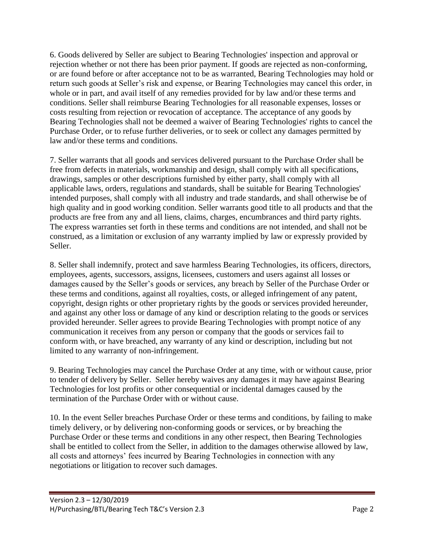6. Goods delivered by Seller are subject to Bearing Technologies' inspection and approval or rejection whether or not there has been prior payment. If goods are rejected as non-conforming, or are found before or after acceptance not to be as warranted, Bearing Technologies may hold or return such goods at Seller's risk and expense, or Bearing Technologies may cancel this order, in whole or in part, and avail itself of any remedies provided for by law and/or these terms and conditions. Seller shall reimburse Bearing Technologies for all reasonable expenses, losses or costs resulting from rejection or revocation of acceptance. The acceptance of any goods by Bearing Technologies shall not be deemed a waiver of Bearing Technologies' rights to cancel the Purchase Order, or to refuse further deliveries, or to seek or collect any damages permitted by law and/or these terms and conditions.

7. Seller warrants that all goods and services delivered pursuant to the Purchase Order shall be free from defects in materials, workmanship and design, shall comply with all specifications, drawings, samples or other descriptions furnished by either party, shall comply with all applicable laws, orders, regulations and standards, shall be suitable for Bearing Technologies' intended purposes, shall comply with all industry and trade standards, and shall otherwise be of high quality and in good working condition. Seller warrants good title to all products and that the products are free from any and all liens, claims, charges, encumbrances and third party rights. The express warranties set forth in these terms and conditions are not intended, and shall not be construed, as a limitation or exclusion of any warranty implied by law or expressly provided by Seller.

8. Seller shall indemnify, protect and save harmless Bearing Technologies, its officers, directors, employees, agents, successors, assigns, licensees, customers and users against all losses or damages caused by the Seller's goods or services, any breach by Seller of the Purchase Order or these terms and conditions, against all royalties, costs, or alleged infringement of any patent, copyright, design rights or other proprietary rights by the goods or services provided hereunder, and against any other loss or damage of any kind or description relating to the goods or services provided hereunder. Seller agrees to provide Bearing Technologies with prompt notice of any communication it receives from any person or company that the goods or services fail to conform with, or have breached, any warranty of any kind or description, including but not limited to any warranty of non-infringement.

9. Bearing Technologies may cancel the Purchase Order at any time, with or without cause, prior to tender of delivery by Seller. Seller hereby waives any damages it may have against Bearing Technologies for lost profits or other consequential or incidental damages caused by the termination of the Purchase Order with or without cause.

10. In the event Seller breaches Purchase Order or these terms and conditions, by failing to make timely delivery, or by delivering non-conforming goods or services, or by breaching the Purchase Order or these terms and conditions in any other respect, then Bearing Technologies shall be entitled to collect from the Seller, in addition to the damages otherwise allowed by law, all costs and attorneys' fees incurred by Bearing Technologies in connection with any negotiations or litigation to recover such damages.